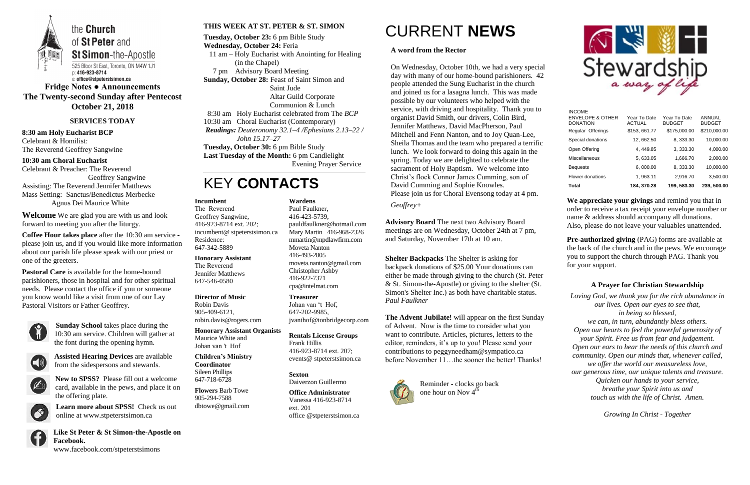

**Fridge Notes ● Announcements The Twenty-second Sunday after Pentecost October 21, 2018**

#### **SERVICES TODAY**

**8:30 am Holy Eucharist BCP** Celebrant & Homilist: The Reverend Geoffrey Sangwine

**10:30 am Choral Eucharist** Celebrant & Preacher: The Reverend Geoffrey Sangwine Assisting: The Reverend Jennifer Matthews Mass Setting: Sanctus/Benedictus Merbecke

Agnus Dei Maurice White

**Welcome** We are glad you are with us and look forward to meeting you after the liturgy.

**Coffee Hour takes place** after the 10:30 am service please join us, and if you would like more information about our parish life please speak with our priest or one of the greeters.

**Pastoral Care** is available for the home-bound parishioners, those in hospital and for other spiritual needs. Please contact the office if you or someone you know would like a visit from one of our Lay Pastoral Visitors or Father Geoffrey.



**Sunday School** takes place during the 10:30 am service. Children will gather at the font during the opening hymn.



**Assisted Hearing Devices** are available from the sidespersons and stewards.



**New to SPSS?** Please fill out a welcome card, available in the pews, and place it on the offering plate.

**Learn more about SPSS!** Check us out online at www.stpeterstsimon.ca

**Like St Peter & St Simon-the-Apostle on Facebook.** 

www.facebook.com/stpeterstsimons



#### **THIS WEEK AT ST. PETER & ST. SIMON**

**The Advent Jubilate!** will appear on the first Sunday of Advent. Now is the time to consider what you want to contribute. Articles, pictures, letters to the editor, reminders, it's up to you! Please send your contributions to peggyneedham@sympatico.ca before November 11...the sooner the better! Thanks!



**Tuesday, October 23:** 6 pm Bible Study **Wednesday, October 24:** Feria 11 am – Holy Eucharist with Anointing for Healing (in the Chapel) 7 pm Advisory Board Meeting **Sunday, October 28:** Feast of Saint Simon and Saint Jude Altar Guild Corporate Communion & Lunch 8:30 am Holy Eucharist celebrated from The *BCP* 10:30 am Choral Eucharist (Contemporary) *Readings: Deuteronomy 32.1–4 /Ephesians 2.13–22 / John 15.17–27* **Tuesday, October 30:** 6 pm Bible Study **Last Tuesday of the Month:** 6 pm Candlelight Evening Prayer Service

> Reminder - clocks go back one hour on Nov  $4<sup>th</sup>$



# KEY **CONTACTS**

# CURRENT **NEWS**

**Pre-authorized giving (PAG) forms are available at** the back of the church and in the pews. We encourage you to support the church through PAG. Thank you for your support.

#### **A word from the Rector**

On Wednesday, October 10th, we had a very special day with many of our home-bound parishioners. 42 people attended the Sung Eucharist in the church and joined us for a lasagna lunch. This was made possible by our volunteers who helped with the service, with driving and hospitality. Thank you to organist David Smith, our drivers, Colin Bird, Jennifer Matthews, David MacPherson, Paul Mitchell and Fenn Nanton, and to Joy Quan-Lee, Sheila Thomas and the team who prepared a terrific lunch. We look forward to doing this again in the spring. Today we are delighted to celebrate the sacrament of Holy Baptism. We welcome into Christ's flock Connor James Cumming, son of David Cumming and Sophie Knowles. Please join us for Choral Evensong today at 4 pm.

*Geoffrey+*

**Advisory Board** The next two Advisory Board meetings are on Wednesday, October 24th at 7 pm, and Saturday, November 17th at 10 am.

**Shelter Backpacks** The Shelter is asking for backpack donations of \$25.00 Your donations can either be made through giving to the church (St. Peter & St. Simon-the-Apostle) or giving to the shelter (St. Simon's Shelter Inc.) as both have charitable status. *Paul Faulkner*

**We appreciate your givings** and remind you that in order to receive a tax receipt your envelope number or name & address should accompany all donations. Also, please do not leave your valuables unattended.

### **A Prayer for Christian Stewardship**

*Loving God, we thank you for the rich abundance in our lives. Open our eyes to see that, in being so blessed, we can, in turn, abundantly bless others. Open our hearts to feel the powerful generosity of your Spirit. Free us from fear and judgement. Open our ears to hear the needs of this church and community. Open our minds that, whenever called, we offer the world our measureless love, our generous time, our unique talents and treasure. Quicken our hands to your service, breathe your Spirit into us and touch us with the life of Christ. Amen.*

*Growing In Christ - Together*

#### **Incumbent**

The Reverend Geoffrey Sangwine, 416-923-8714 ext. 202; incumbent@ stpeterstsimon.ca Residence: 647-342-5889

**Honorary Assistant** The Reverend Jennifer Matthews 647-546-0580

#### **Director of Music**

Robin Davis 905-409-6121, robin.davis@rogers.com

**Honorary Assistant Organists**  Maurice White and

Johan van 't Hof

**Children's Ministry Coordinator** Sileen Phillips

647-718-6728

**Flowers** Barb Towe 905-294-7588 dbtowe@gmail.com

## **Wardens**

Paul Faulkner, 416-423-5739, [pauldfaulkner@hotmail.com](mailto:pauldfaulkner@hotmail.com)  Mary Martin 416-968-2326 mmartin@mpdlawfirm.com Moveta Nanton 416-493-2805 moveta.nanton@gmail.com Christopher Ashby 416-922-7371 cpa@intelmat.com

**Treasurer**  Johan van 't Hof, 647-202-9985, jvanthof@tonbridgecorp.com

**Rentals License Groups** Frank Hillis 416-923-8714 ext. 207; events@ stpeterstsimon.ca

**Sexton** Daiverzon Guillermo

**Office Administrator** Vanessa 416-923-8714 ext. 201 office @stpeterstsimon.ca

| Total                                                           | 184, 370.28                   | 199, 583.30                   | 239, 500.00                    |
|-----------------------------------------------------------------|-------------------------------|-------------------------------|--------------------------------|
| Flower donations                                                | 1, 963.11                     | 2,916.70                      | 3,500.00                       |
| <b>Bequests</b>                                                 | 6,000.00                      | 8, 333.30                     | 10,000.00                      |
| <b>Miscellaneous</b>                                            | 5, 633.05                     | 1,666.70                      | 2,000.00                       |
| Open Offering                                                   | 4, 449.85                     | 3, 333.30                     | 4,000.00                       |
| Special donations                                               | 12, 662.50                    | 8, 333.30                     | 10,000.00                      |
| Regular Offerings                                               | \$153, 661.77                 | \$175,000.00                  | \$210,000.00                   |
| <b>INCOME</b><br><b>ENVELOPE &amp; OTHER</b><br><b>DONATION</b> | Year To Date<br><b>ACTUAL</b> | Year To Date<br><b>BUDGET</b> | <b>ANNUAL</b><br><b>BUDGET</b> |